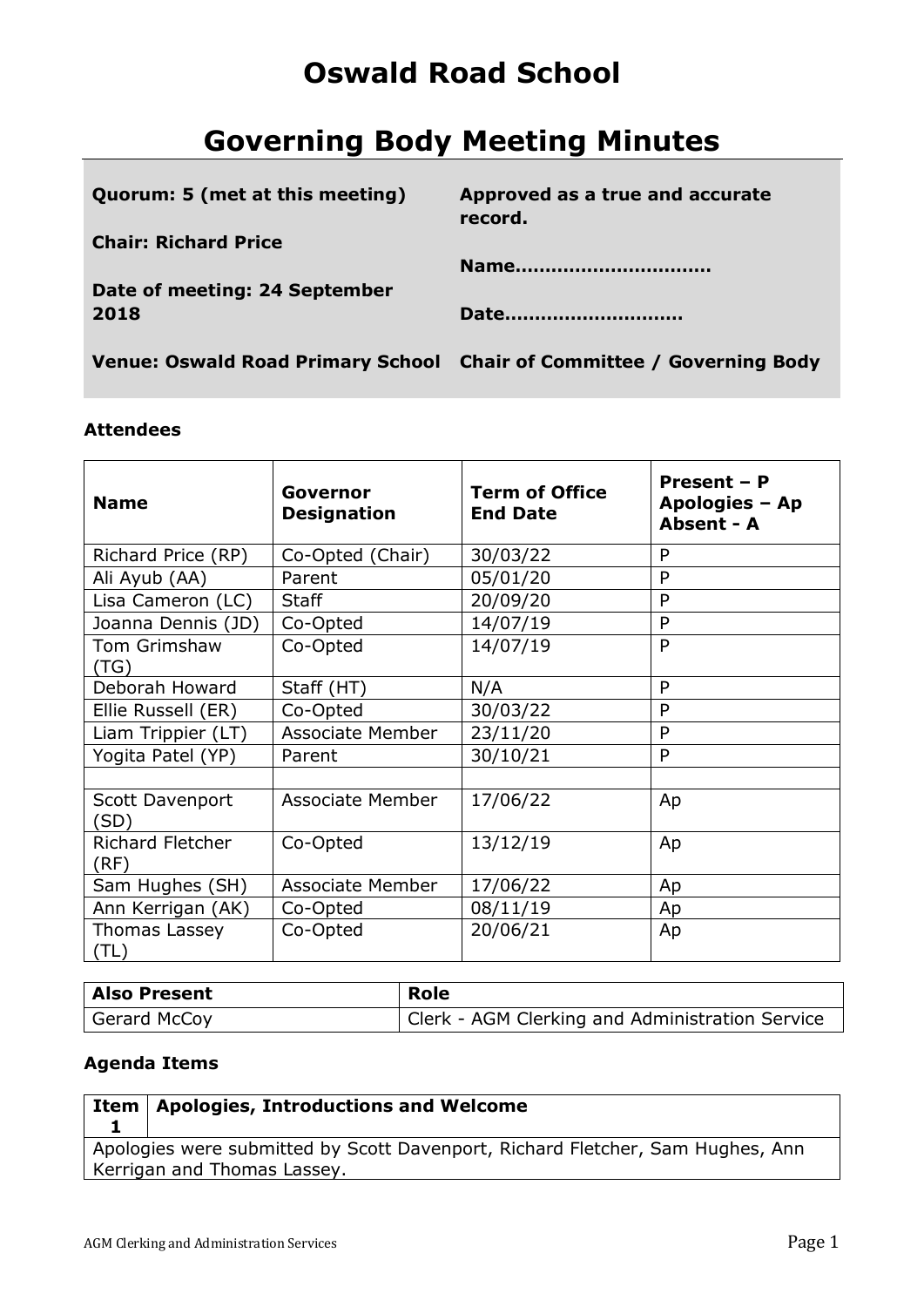# **Oswald Road School**

# **Governing Body Meeting Minutes**

| Quorum: 5 (met at this meeting) | Approved as a true and accurate<br>record.                            |
|---------------------------------|-----------------------------------------------------------------------|
| <b>Chair: Richard Price</b>     |                                                                       |
|                                 | Name                                                                  |
| Date of meeting: 24 September   |                                                                       |
| 2018                            | Date                                                                  |
|                                 |                                                                       |
|                                 | Venue: Oswald Road Primary School Chair of Committee / Governing Body |

### **Attendees**

| <b>Name</b>                     | Governor<br><b>Designation</b> | <b>Term of Office</b><br><b>End Date</b> | Present - P<br>Apologies - Ap<br>Absent - A |
|---------------------------------|--------------------------------|------------------------------------------|---------------------------------------------|
| Richard Price (RP)              | Co-Opted (Chair)               | 30/03/22                                 | P                                           |
| Ali Ayub (AA)                   | Parent                         | 05/01/20                                 | P                                           |
| Lisa Cameron (LC)               | <b>Staff</b>                   | 20/09/20                                 | P                                           |
| Joanna Dennis (JD)              | Co-Opted                       | 14/07/19                                 | P                                           |
| Tom Grimshaw<br>(TG)            | Co-Opted                       | 14/07/19                                 | P                                           |
| Deborah Howard                  | Staff (HT)                     | N/A                                      | P                                           |
| Ellie Russell (ER)              | Co-Opted                       | 30/03/22                                 | P                                           |
| Liam Trippier (LT)              | <b>Associate Member</b>        | 23/11/20                                 | P                                           |
| Yogita Patel (YP)               | Parent                         | 30/10/21                                 | P                                           |
|                                 |                                |                                          |                                             |
| Scott Davenport<br>(SD)         | Associate Member               | 17/06/22                                 | Ap                                          |
| <b>Richard Fletcher</b><br>(RF) | Co-Opted                       | 13/12/19                                 | Ap                                          |
| Sam Hughes (SH)                 | <b>Associate Member</b>        | 17/06/22                                 | Ap                                          |
| Ann Kerrigan (AK)               | Co-Opted                       | 08/11/19                                 | Ap                                          |
| Thomas Lassey<br>(TL)           | Co-Opted                       | 20/06/21                                 | Ap                                          |

| <b>Also Present</b> | Role                                            |
|---------------------|-------------------------------------------------|
| Gerard McCoy        | Clerk - AGM Clerking and Administration Service |

### **Agenda Items**

| $\frac{1}{2}$ Item $\vert$ Apologies, Introductions and Welcome                |
|--------------------------------------------------------------------------------|
|                                                                                |
| Apologies were submitted by Scott Davenport, Richard Fletcher, Sam Hughes, Ann |
| Kerrigan and Thomas Lassey.                                                    |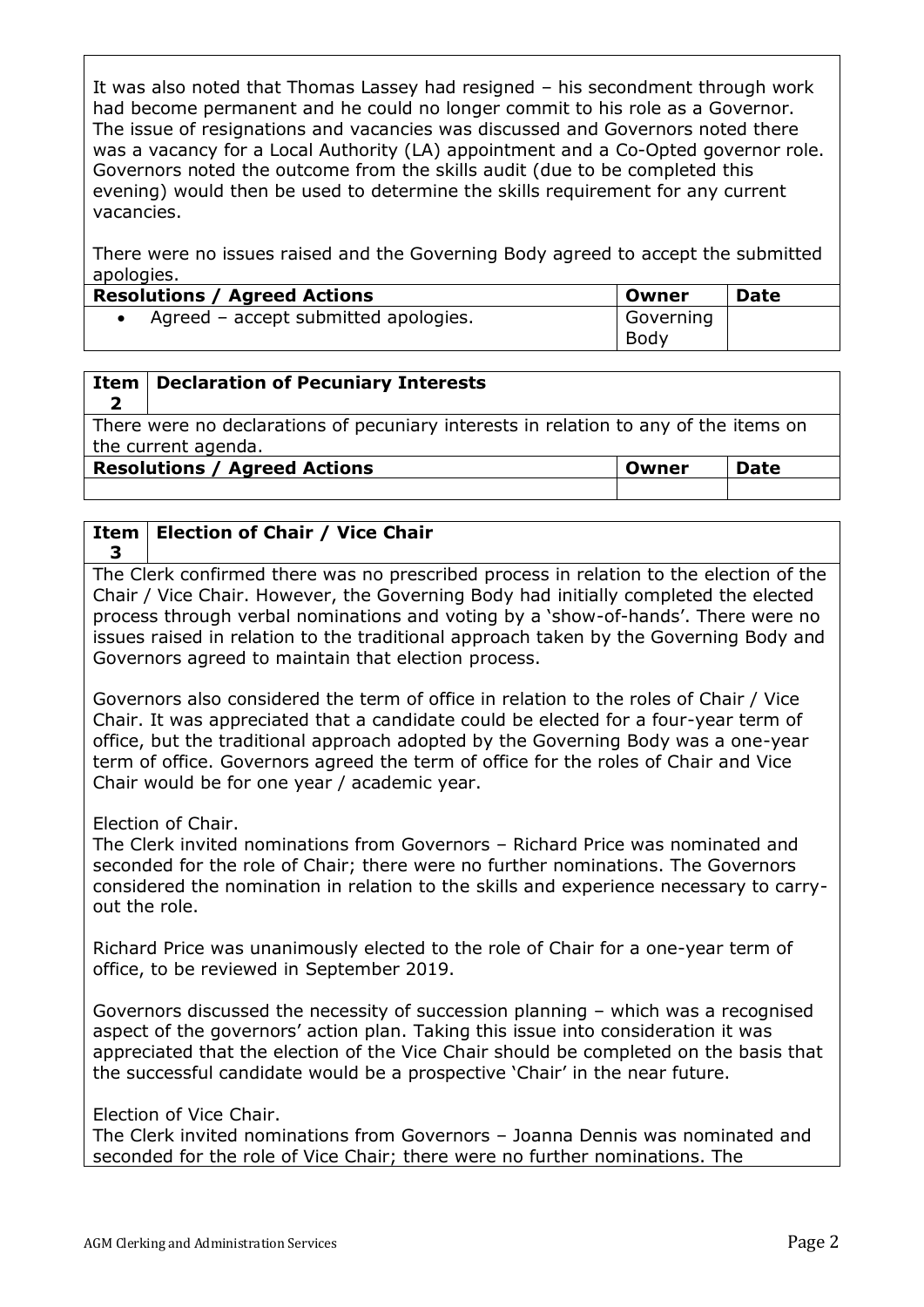It was also noted that Thomas Lassey had resigned – his secondment through work had become permanent and he could no longer commit to his role as a Governor. The issue of resignations and vacancies was discussed and Governors noted there was a vacancy for a Local Authority (LA) appointment and a Co-Opted governor role. Governors noted the outcome from the skills audit (due to be completed this evening) would then be used to determine the skills requirement for any current vacancies.

There were no issues raised and the Governing Body agreed to accept the submitted apologies.

| <b>Resolutions / Agreed Actions</b>  | Owner             | <b>Date</b> |
|--------------------------------------|-------------------|-------------|
| Agreed – accept submitted apologies. | Governing<br>Body |             |

#### **Item Declaration of Pecuniary Interests**

There were no declarations of pecuniary interests in relation to any of the items on the current agenda.

**Resolutions / Agreed Actions CONFIDENTIAL CONFIDENT IDATE** 

**2**

### **Item Election of Chair / Vice Chair 3**

The Clerk confirmed there was no prescribed process in relation to the election of the Chair / Vice Chair. However, the Governing Body had initially completed the elected process through verbal nominations and voting by a 'show-of-hands'. There were no issues raised in relation to the traditional approach taken by the Governing Body and Governors agreed to maintain that election process.

Governors also considered the term of office in relation to the roles of Chair / Vice Chair. It was appreciated that a candidate could be elected for a four-year term of office, but the traditional approach adopted by the Governing Body was a one-year term of office. Governors agreed the term of office for the roles of Chair and Vice Chair would be for one year / academic year.

Election of Chair.

The Clerk invited nominations from Governors – Richard Price was nominated and seconded for the role of Chair; there were no further nominations. The Governors considered the nomination in relation to the skills and experience necessary to carryout the role.

Richard Price was unanimously elected to the role of Chair for a one-year term of office, to be reviewed in September 2019.

Governors discussed the necessity of succession planning – which was a recognised aspect of the governors' action plan. Taking this issue into consideration it was appreciated that the election of the Vice Chair should be completed on the basis that the successful candidate would be a prospective 'Chair' in the near future.

Election of Vice Chair.

The Clerk invited nominations from Governors – Joanna Dennis was nominated and seconded for the role of Vice Chair; there were no further nominations. The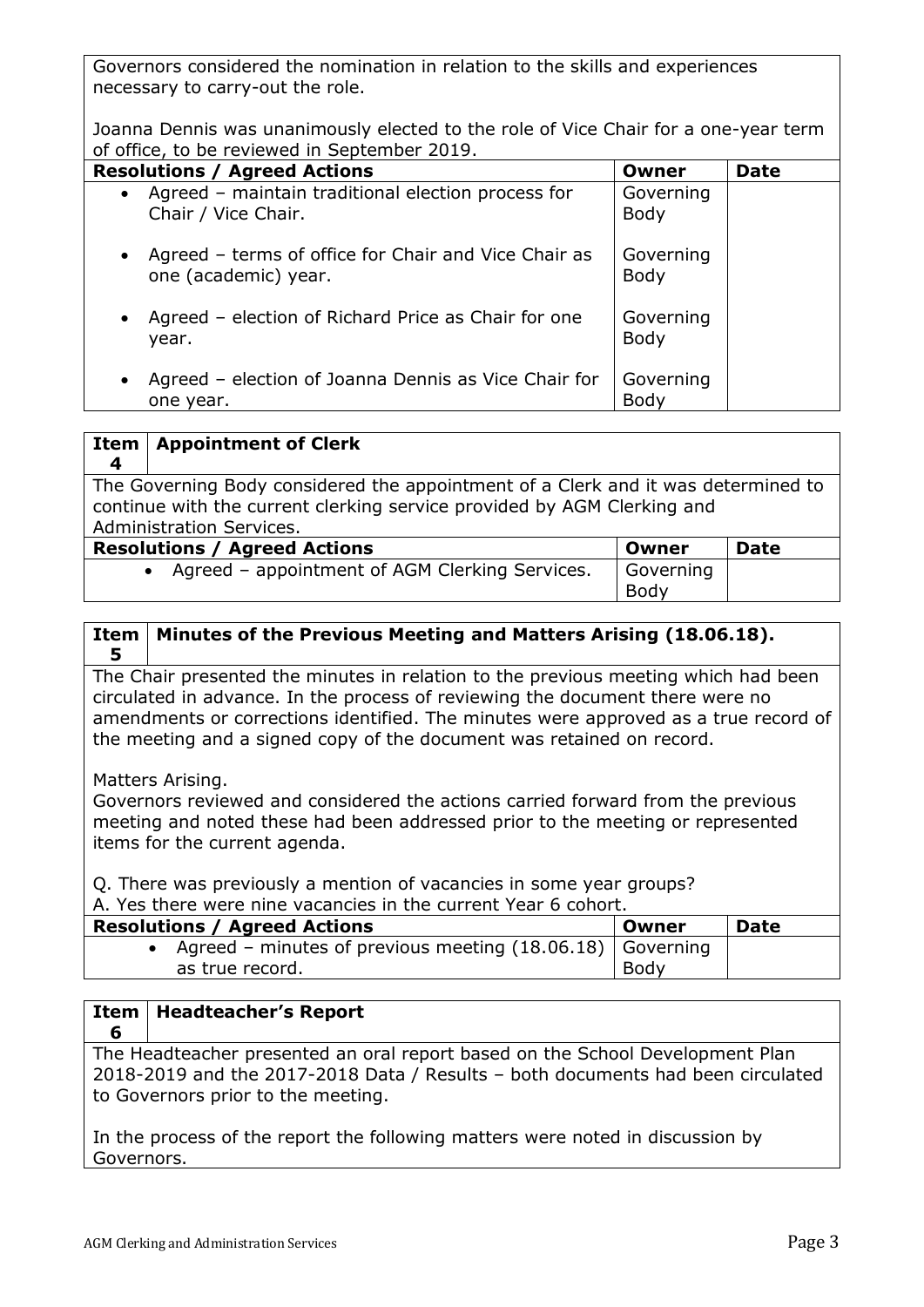Governors considered the nomination in relation to the skills and experiences necessary to carry-out the role.

Joanna Dennis was unanimously elected to the role of Vice Chair for a one-year term of office, to be reviewed in September 2019.

| <b>Resolutions / Agreed Actions</b>                                                       | Owner                    | <b>Date</b> |
|-------------------------------------------------------------------------------------------|--------------------------|-------------|
| Agreed - maintain traditional election process for<br>$\bullet$<br>Chair / Vice Chair.    | Governing<br><b>Body</b> |             |
| Agreed - terms of office for Chair and Vice Chair as<br>$\bullet$<br>one (academic) year. | Governing<br><b>Body</b> |             |
| Agreed – election of Richard Price as Chair for one<br>$\bullet$<br>year.                 | Governing<br><b>Body</b> |             |
| Agreed – election of Joanna Dennis as Vice Chair for<br>$\bullet$<br>one year.            | Governing<br>Body        |             |

| Item<br>-4                                                                                                                                                                               | <b>Appointment of Clerk</b>                                 |                   |             |
|------------------------------------------------------------------------------------------------------------------------------------------------------------------------------------------|-------------------------------------------------------------|-------------------|-------------|
| The Governing Body considered the appointment of a Clerk and it was determined to<br>continue with the current clerking service provided by AGM Clerking and<br>Administration Services. |                                                             |                   |             |
|                                                                                                                                                                                          | <b>Resolutions / Agreed Actions</b>                         | Owner             | <b>Date</b> |
|                                                                                                                                                                                          | Agreed - appointment of AGM Clerking Services.<br>$\bullet$ | Governing<br>Body |             |

### **Item 5 Minutes of the Previous Meeting and Matters Arising (18.06.18).**

The Chair presented the minutes in relation to the previous meeting which had been circulated in advance. In the process of reviewing the document there were no amendments or corrections identified. The minutes were approved as a true record of the meeting and a signed copy of the document was retained on record.

Matters Arising.

**6**

Governors reviewed and considered the actions carried forward from the previous meeting and noted these had been addressed prior to the meeting or represented items for the current agenda.

Q. There was previously a mention of vacancies in some year groups? A. Yes there were nine vacancies in the current Year 6 cohort.

| <b>Resolutions / Agreed Actions</b>                           | Owner | <b>Date</b> |
|---------------------------------------------------------------|-------|-------------|
| • Agreed – minutes of previous meeting $(18.06.18)$ Governing |       |             |
| as true record.                                               | Body  |             |

#### **Item Headteacher's Report**

The Headteacher presented an oral report based on the School Development Plan 2018-2019 and the 2017-2018 Data / Results – both documents had been circulated to Governors prior to the meeting.

In the process of the report the following matters were noted in discussion by Governors.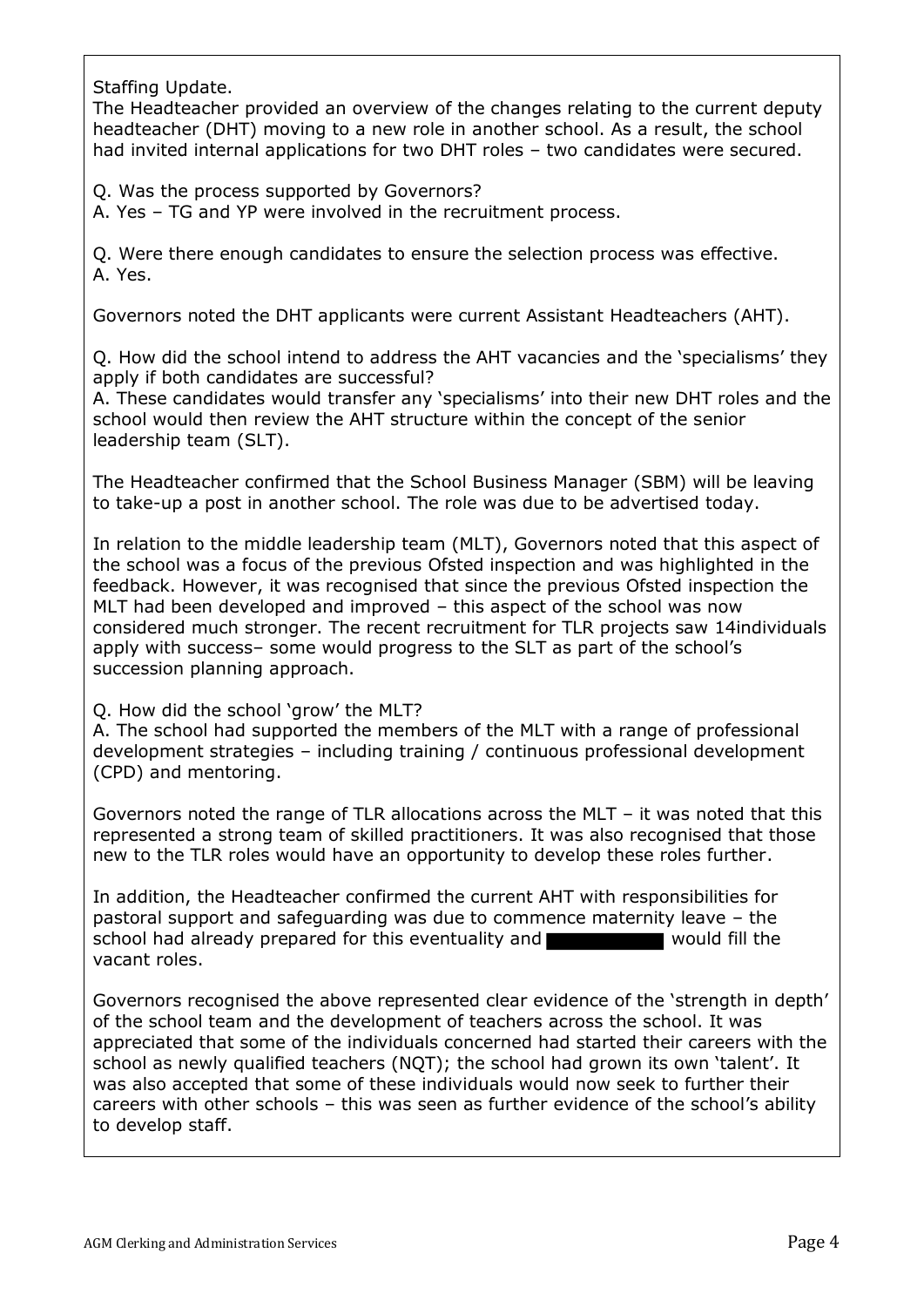Staffing Update.

The Headteacher provided an overview of the changes relating to the current deputy headteacher (DHT) moving to a new role in another school. As a result, the school had invited internal applications for two DHT roles – two candidates were secured.

Q. Was the process supported by Governors?

A. Yes – TG and YP were involved in the recruitment process.

Q. Were there enough candidates to ensure the selection process was effective. A. Yes.

Governors noted the DHT applicants were current Assistant Headteachers (AHT).

Q. How did the school intend to address the AHT vacancies and the 'specialisms' they apply if both candidates are successful?

A. These candidates would transfer any 'specialisms' into their new DHT roles and the school would then review the AHT structure within the concept of the senior leadership team (SLT).

The Headteacher confirmed that the School Business Manager (SBM) will be leaving to take-up a post in another school. The role was due to be advertised today.

In relation to the middle leadership team (MLT), Governors noted that this aspect of the school was a focus of the previous Ofsted inspection and was highlighted in the feedback. However, it was recognised that since the previous Ofsted inspection the MLT had been developed and improved – this aspect of the school was now considered much stronger. The recent recruitment for TLR projects saw 14individuals apply with success– some would progress to the SLT as part of the school's succession planning approach.

Q. How did the school 'grow' the MLT?

A. The school had supported the members of the MLT with a range of professional development strategies – including training / continuous professional development (CPD) and mentoring.

Governors noted the range of TLR allocations across the MLT – it was noted that this represented a strong team of skilled practitioners. It was also recognised that those new to the TLR roles would have an opportunity to develop these roles further.

In addition, the Headteacher confirmed the current AHT with responsibilities for pastoral support and safeguarding was due to commence maternity leave – the school had already prepared for this eventuality and would fill the vacant roles.

Governors recognised the above represented clear evidence of the 'strength in depth' of the school team and the development of teachers across the school. It was appreciated that some of the individuals concerned had started their careers with the school as newly qualified teachers (NQT); the school had grown its own 'talent'. It was also accepted that some of these individuals would now seek to further their careers with other schools – this was seen as further evidence of the school's ability to develop staff.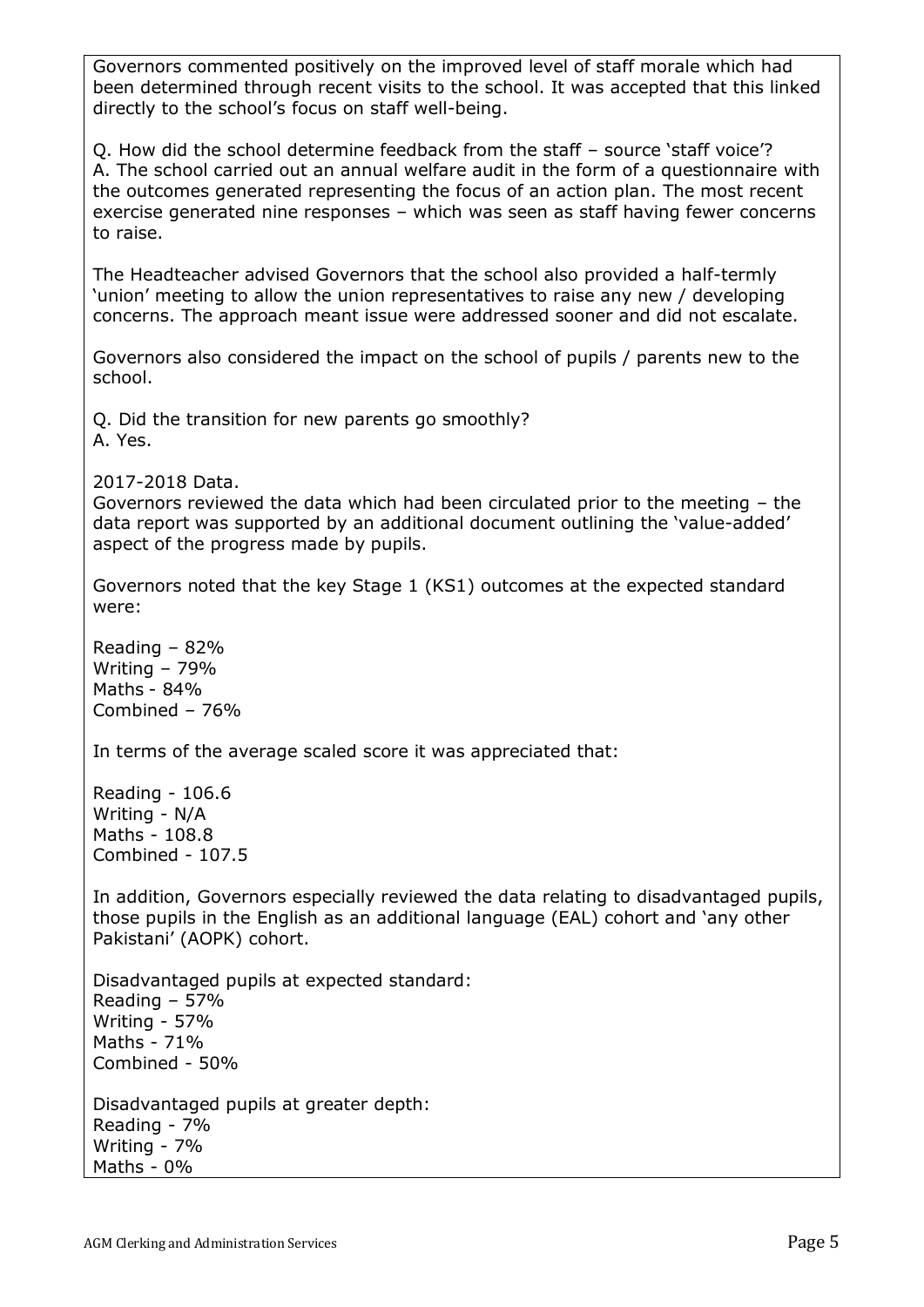Governors commented positively on the improved level of staff morale which had been determined through recent visits to the school. It was accepted that this linked directly to the school's focus on staff well-being.

Q. How did the school determine feedback from the staff – source 'staff voice'? A. The school carried out an annual welfare audit in the form of a questionnaire with the outcomes generated representing the focus of an action plan. The most recent exercise generated nine responses – which was seen as staff having fewer concerns to raise.

The Headteacher advised Governors that the school also provided a half-termly 'union' meeting to allow the union representatives to raise any new / developing concerns. The approach meant issue were addressed sooner and did not escalate.

Governors also considered the impact on the school of pupils / parents new to the school.

Q. Did the transition for new parents go smoothly? A. Yes.

2017-2018 Data.

Governors reviewed the data which had been circulated prior to the meeting – the data report was supported by an additional document outlining the 'value-added' aspect of the progress made by pupils.

Governors noted that the key Stage 1 (KS1) outcomes at the expected standard were:

Reading – 82% Writing – 79% Maths - 84% Combined – 76%

In terms of the average scaled score it was appreciated that:

Reading - 106.6 Writing - N/A Maths - 108.8 Combined - 107.5

In addition, Governors especially reviewed the data relating to disadvantaged pupils, those pupils in the English as an additional language (EAL) cohort and 'any other Pakistani' (AOPK) cohort.

Disadvantaged pupils at expected standard: Reading – 57% Writing - 57% Maths - 71% Combined - 50%

Disadvantaged pupils at greater depth: Reading - 7% Writing - 7% Maths - 0%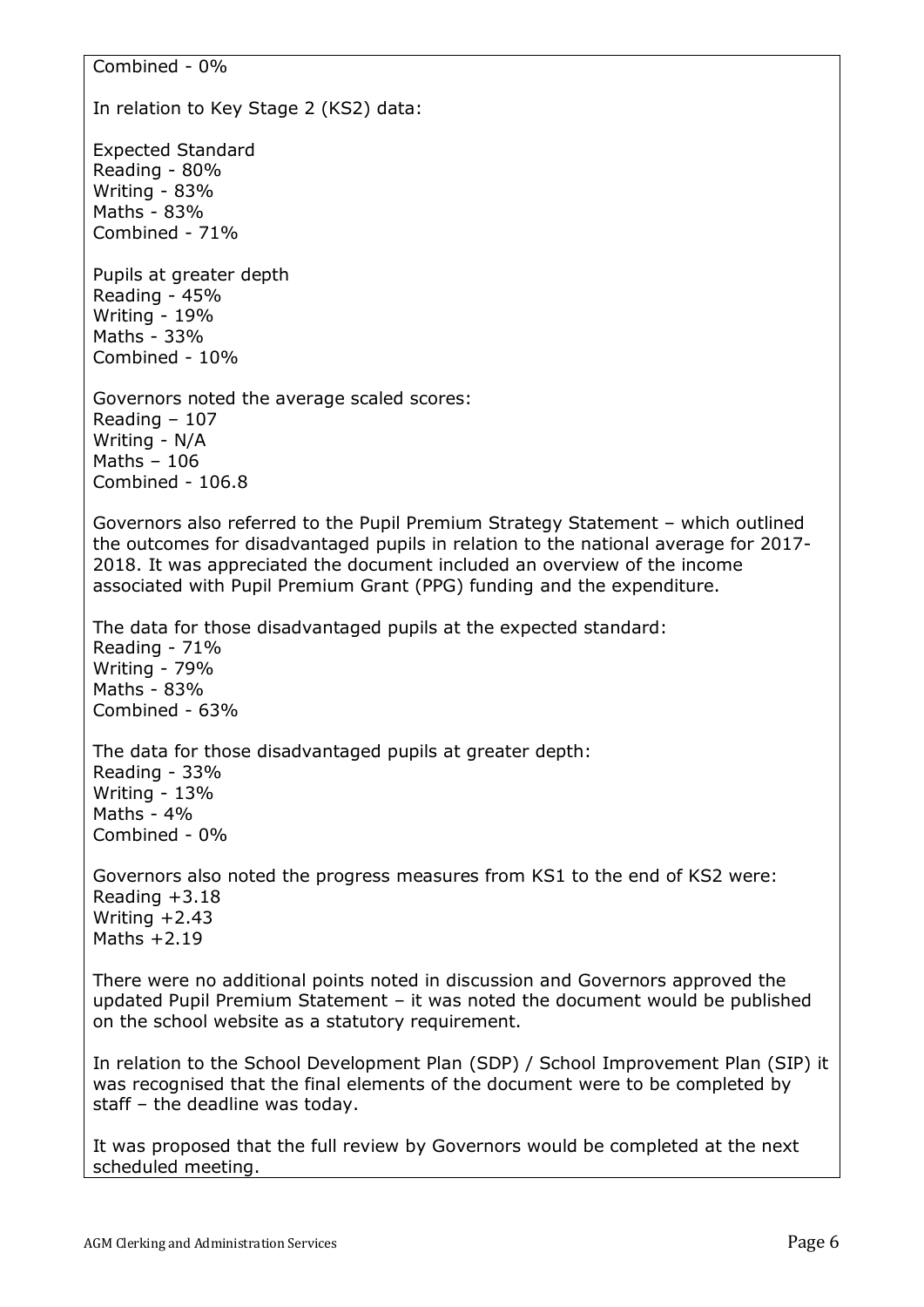Combined - 0% In relation to Key Stage 2 (KS2) data: Expected Standard Reading - 80% Writing - 83% Maths - 83% Combined - 71% Pupils at greater depth Reading - 45% Writing - 19% Maths - 33% Combined - 10% Governors noted the average scaled scores: Reading – 107 Writing - N/A Maths – 106 Combined - 106.8 Governors also referred to the Pupil Premium Strategy Statement – which outlined the outcomes for disadvantaged pupils in relation to the national average for 2017- 2018. It was appreciated the document included an overview of the income associated with Pupil Premium Grant (PPG) funding and the expenditure. The data for those disadvantaged pupils at the expected standard: Reading - 71% Writing - 79% Maths - 83% Combined - 63% The data for those disadvantaged pupils at greater depth: Reading - 33% Writing - 13% Maths - 4% Combined - 0% Governors also noted the progress measures from KS1 to the end of KS2 were: Reading  $+3.18$ Writing +2.43 Maths  $+2.19$ There were no additional points noted in discussion and Governors approved the updated Pupil Premium Statement – it was noted the document would be published on the school website as a statutory requirement. In relation to the School Development Plan (SDP) / School Improvement Plan (SIP) it was recognised that the final elements of the document were to be completed by staff – the deadline was today. It was proposed that the full review by Governors would be completed at the next scheduled meeting.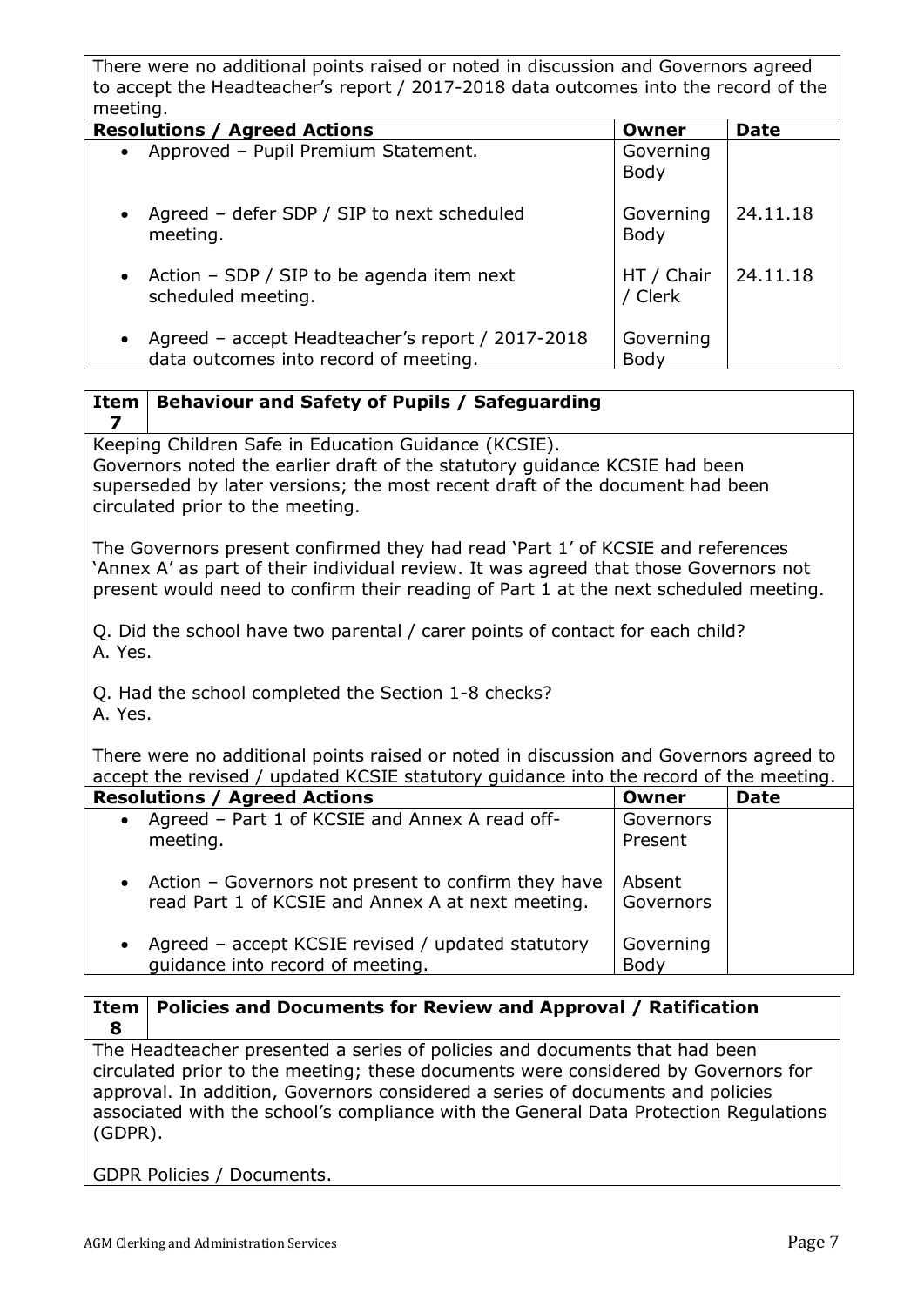There were no additional points raised or noted in discussion and Governors agreed to accept the Headteacher's report / 2017-2018 data outcomes into the record of the meeting.

| <b>Resolutions / Agreed Actions</b>                                                                    | Owner                 | <b>Date</b> |
|--------------------------------------------------------------------------------------------------------|-----------------------|-------------|
| • Approved - Pupil Premium Statement.                                                                  | Governing<br>Body     |             |
| Agreed - defer SDP / SIP to next scheduled<br>$\bullet$<br>meeting.                                    | Governing<br>Body     | 24.11.18    |
| • Action $-$ SDP / SIP to be agenda item next<br>scheduled meeting.                                    | HT / Chair<br>/ Clerk | 24.11.18    |
| Agreed - accept Headteacher's report / 2017-2018<br>$\bullet$<br>data outcomes into record of meeting. | Governing<br>Body     |             |

|  | Item   Behaviour and Safety of Pupils / Safeguarding |  |
|--|------------------------------------------------------|--|
|--|------------------------------------------------------|--|

Keeping Children Safe in Education Guidance (KCSIE).

Governors noted the earlier draft of the statutory guidance KCSIE had been superseded by later versions; the most recent draft of the document had been circulated prior to the meeting.

The Governors present confirmed they had read 'Part 1' of KCSIE and references 'Annex A' as part of their individual review. It was agreed that those Governors not present would need to confirm their reading of Part 1 at the next scheduled meeting.

Q. Did the school have two parental / carer points of contact for each child? A. Yes.

Q. Had the school completed the Section 1-8 checks?

A. Yes.

**7**

There were no additional points raised or noted in discussion and Governors agreed to accept the revised / updated KCSIE statutory guidance into the record of the meeting.

| <b>Resolutions / Agreed Actions</b>                                                                        | Owner                | <b>Date</b> |
|------------------------------------------------------------------------------------------------------------|----------------------|-------------|
| Agreed - Part 1 of KCSIE and Annex A read off-<br>$\bullet$<br>meeting.                                    | Governors<br>Present |             |
| • Action – Governors not present to confirm they have<br>read Part 1 of KCSIE and Annex A at next meeting. | Absent<br>Governors  |             |
| Agreed - accept KCSIE revised / updated statutory<br>$\bullet$<br>quidance into record of meeting.         | Governing<br>Body    |             |

### **Item 8 Policies and Documents for Review and Approval / Ratification**

The Headteacher presented a series of policies and documents that had been circulated prior to the meeting; these documents were considered by Governors for approval. In addition, Governors considered a series of documents and policies associated with the school's compliance with the General Data Protection Regulations (GDPR).

GDPR Policies / Documents.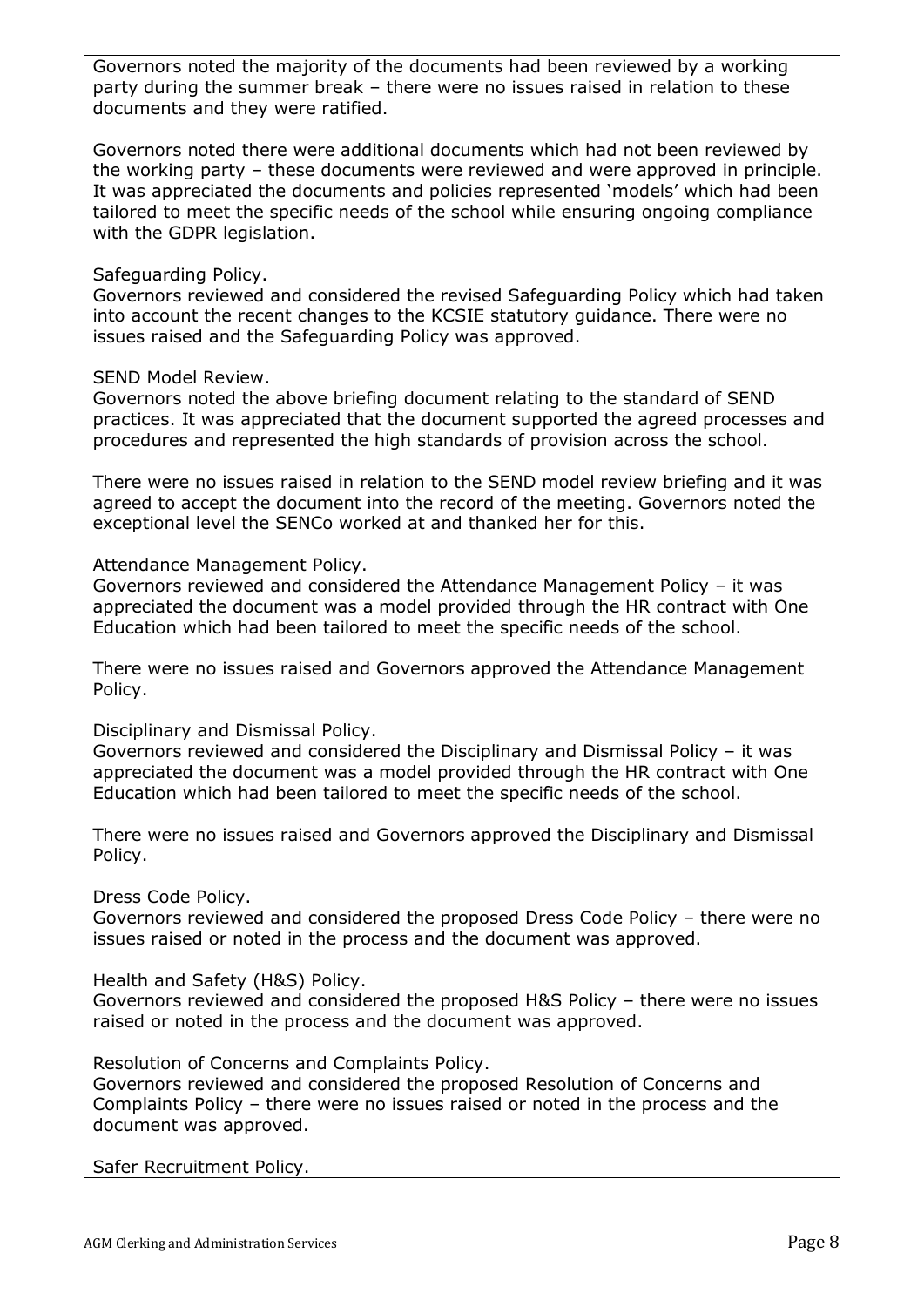Governors noted the majority of the documents had been reviewed by a working party during the summer break – there were no issues raised in relation to these documents and they were ratified.

Governors noted there were additional documents which had not been reviewed by the working party – these documents were reviewed and were approved in principle. It was appreciated the documents and policies represented 'models' which had been tailored to meet the specific needs of the school while ensuring ongoing compliance with the GDPR legislation.

## Safeguarding Policy.

Governors reviewed and considered the revised Safeguarding Policy which had taken into account the recent changes to the KCSIE statutory guidance. There were no issues raised and the Safeguarding Policy was approved.

## SEND Model Review.

Governors noted the above briefing document relating to the standard of SEND practices. It was appreciated that the document supported the agreed processes and procedures and represented the high standards of provision across the school.

There were no issues raised in relation to the SEND model review briefing and it was agreed to accept the document into the record of the meeting. Governors noted the exceptional level the SENCo worked at and thanked her for this.

Attendance Management Policy.

Governors reviewed and considered the Attendance Management Policy – it was appreciated the document was a model provided through the HR contract with One Education which had been tailored to meet the specific needs of the school.

There were no issues raised and Governors approved the Attendance Management Policy.

Disciplinary and Dismissal Policy.

Governors reviewed and considered the Disciplinary and Dismissal Policy – it was appreciated the document was a model provided through the HR contract with One Education which had been tailored to meet the specific needs of the school.

There were no issues raised and Governors approved the Disciplinary and Dismissal Policy.

Dress Code Policy.

Governors reviewed and considered the proposed Dress Code Policy – there were no issues raised or noted in the process and the document was approved.

Health and Safety (H&S) Policy.

Governors reviewed and considered the proposed H&S Policy – there were no issues raised or noted in the process and the document was approved.

Resolution of Concerns and Complaints Policy.

Governors reviewed and considered the proposed Resolution of Concerns and Complaints Policy – there were no issues raised or noted in the process and the document was approved.

Safer Recruitment Policy.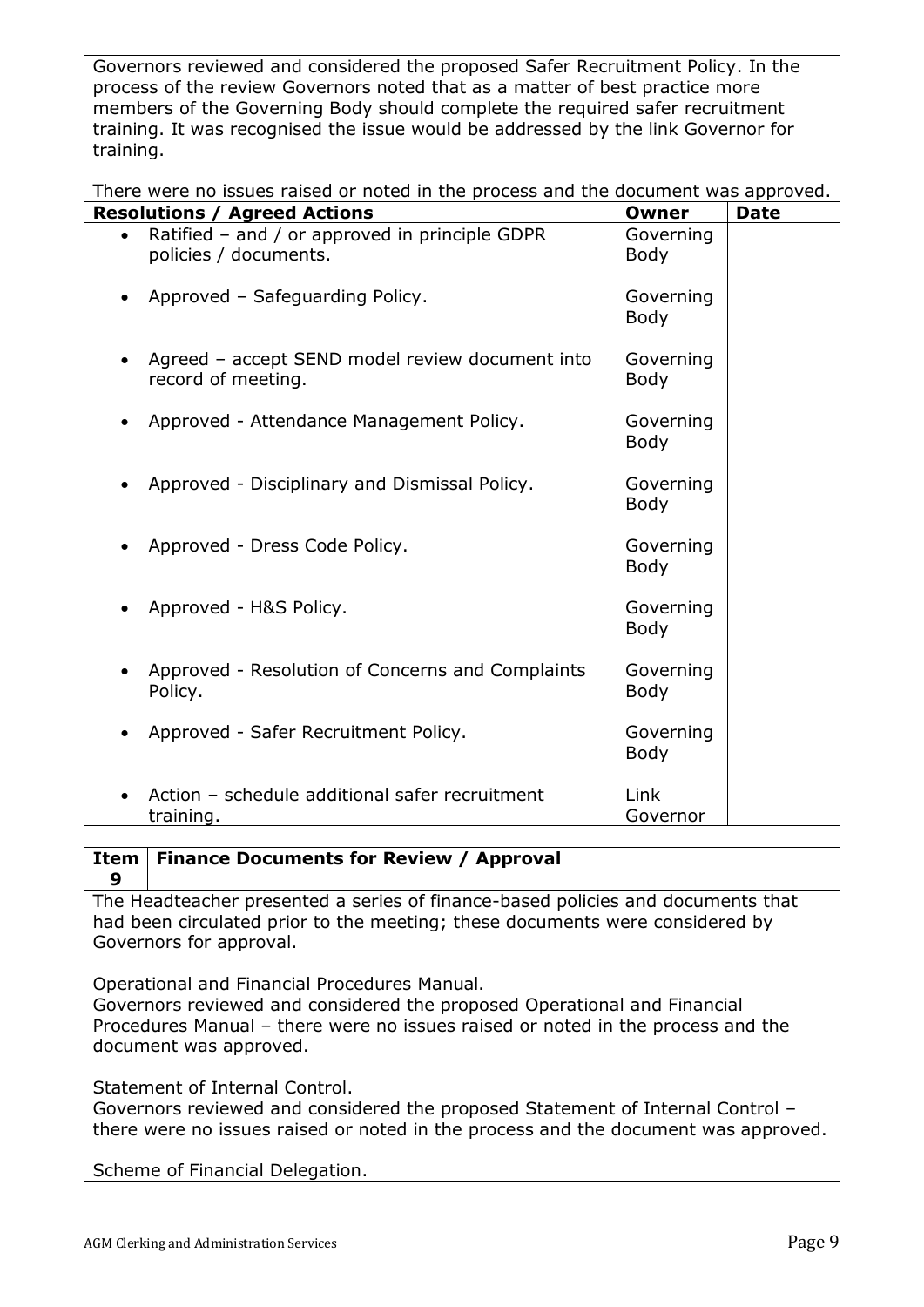Governors reviewed and considered the proposed Safer Recruitment Policy. In the process of the review Governors noted that as a matter of best practice more members of the Governing Body should complete the required safer recruitment training. It was recognised the issue would be addressed by the link Governor for training.

There were no issues raised or noted in the process and the document was approved.

| <b>Resolutions / Agreed Actions</b>                                     | Owner                    | <b>Date</b> |
|-------------------------------------------------------------------------|--------------------------|-------------|
| Ratified - and / or approved in principle GDPR<br>policies / documents. | Governing<br><b>Body</b> |             |
| Approved - Safeguarding Policy.                                         | Governing<br><b>Body</b> |             |
| Agreed - accept SEND model review document into<br>record of meeting.   | Governing<br><b>Body</b> |             |
| Approved - Attendance Management Policy.                                | Governing<br><b>Body</b> |             |
| Approved - Disciplinary and Dismissal Policy.                           | Governing<br><b>Body</b> |             |
| Approved - Dress Code Policy.                                           | Governing<br><b>Body</b> |             |
| Approved - H&S Policy.                                                  | Governing<br>Body        |             |
| Approved - Resolution of Concerns and Complaints<br>Policy.             | Governing<br><b>Body</b> |             |
| Approved - Safer Recruitment Policy.                                    | Governing<br><b>Body</b> |             |
| Action - schedule additional safer recruitment<br>training.             | Link<br>Governor         |             |

#### **Item 9 Finance Documents for Review / Approval**

The Headteacher presented a series of finance-based policies and documents that had been circulated prior to the meeting; these documents were considered by Governors for approval.

Operational and Financial Procedures Manual.

Governors reviewed and considered the proposed Operational and Financial Procedures Manual – there were no issues raised or noted in the process and the document was approved.

Statement of Internal Control.

Governors reviewed and considered the proposed Statement of Internal Control – there were no issues raised or noted in the process and the document was approved.

Scheme of Financial Delegation.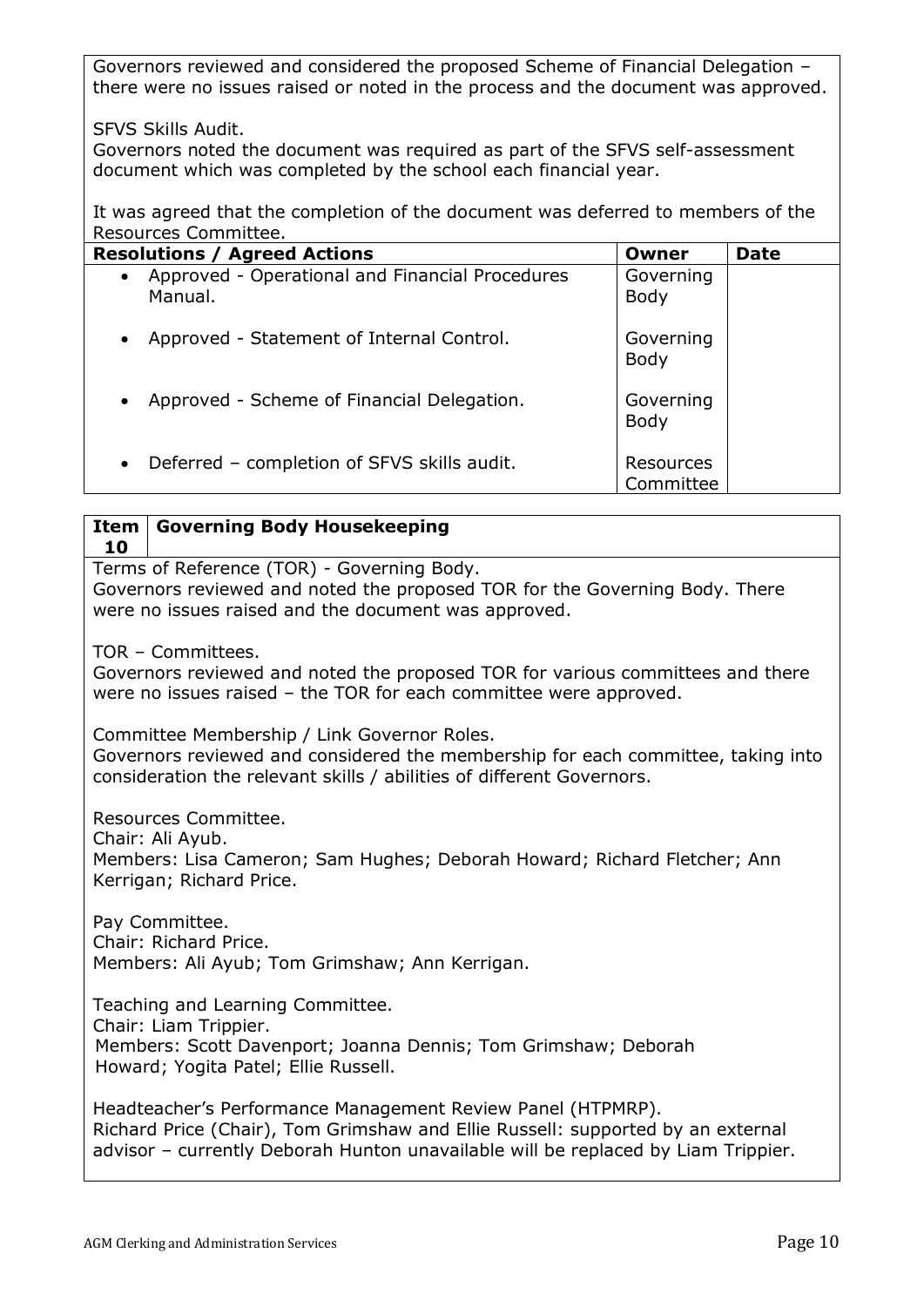Governors reviewed and considered the proposed Scheme of Financial Delegation – there were no issues raised or noted in the process and the document was approved.

SFVS Skills Audit.

Governors noted the document was required as part of the SFVS self-assessment document which was completed by the school each financial year.

It was agreed that the completion of the document was deferred to members of the Resources Committee.

| <b>Resolutions / Agreed Actions</b>                                     | Owner                    | <b>Date</b> |
|-------------------------------------------------------------------------|--------------------------|-------------|
| Approved - Operational and Financial Procedures<br>$\bullet$<br>Manual. | Governing<br><b>Body</b> |             |
| Approved - Statement of Internal Control.<br>$\bullet$                  | Governing<br>Body        |             |
| Approved - Scheme of Financial Delegation.<br>$\bullet$                 | Governing<br><b>Body</b> |             |
| Deferred - completion of SFVS skills audit.<br>$\bullet$                | Resources<br>Committee   |             |

| <b>Governing Body Housekeeping</b><br>Item<br>10                                                                                                                                                                                    |
|-------------------------------------------------------------------------------------------------------------------------------------------------------------------------------------------------------------------------------------|
| Terms of Reference (TOR) - Governing Body.<br>Governors reviewed and noted the proposed TOR for the Governing Body. There<br>were no issues raised and the document was approved.                                                   |
| TOR - Committees.<br>Governors reviewed and noted the proposed TOR for various committees and there<br>were no issues raised - the TOR for each committee were approved.                                                            |
| Committee Membership / Link Governor Roles.<br>Governors reviewed and considered the membership for each committee, taking into<br>consideration the relevant skills / abilities of different Governors.                            |
| Resources Committee.<br>Chair: Ali Ayub.<br>Members: Lisa Cameron; Sam Hughes; Deborah Howard; Richard Fletcher; Ann<br>Kerrigan; Richard Price.                                                                                    |
| Pay Committee.<br>Chair: Richard Price.<br>Members: Ali Ayub; Tom Grimshaw; Ann Kerrigan.                                                                                                                                           |
| Teaching and Learning Committee.<br>Chair: Liam Trippier.<br>Members: Scott Davenport; Joanna Dennis; Tom Grimshaw; Deborah<br>Howard; Yogita Patel; Ellie Russell.                                                                 |
| Headteacher's Performance Management Review Panel (HTPMRP).<br>Richard Price (Chair), Tom Grimshaw and Ellie Russell: supported by an external<br>advisor - currently Deborah Hunton unavailable will be replaced by Liam Trippier. |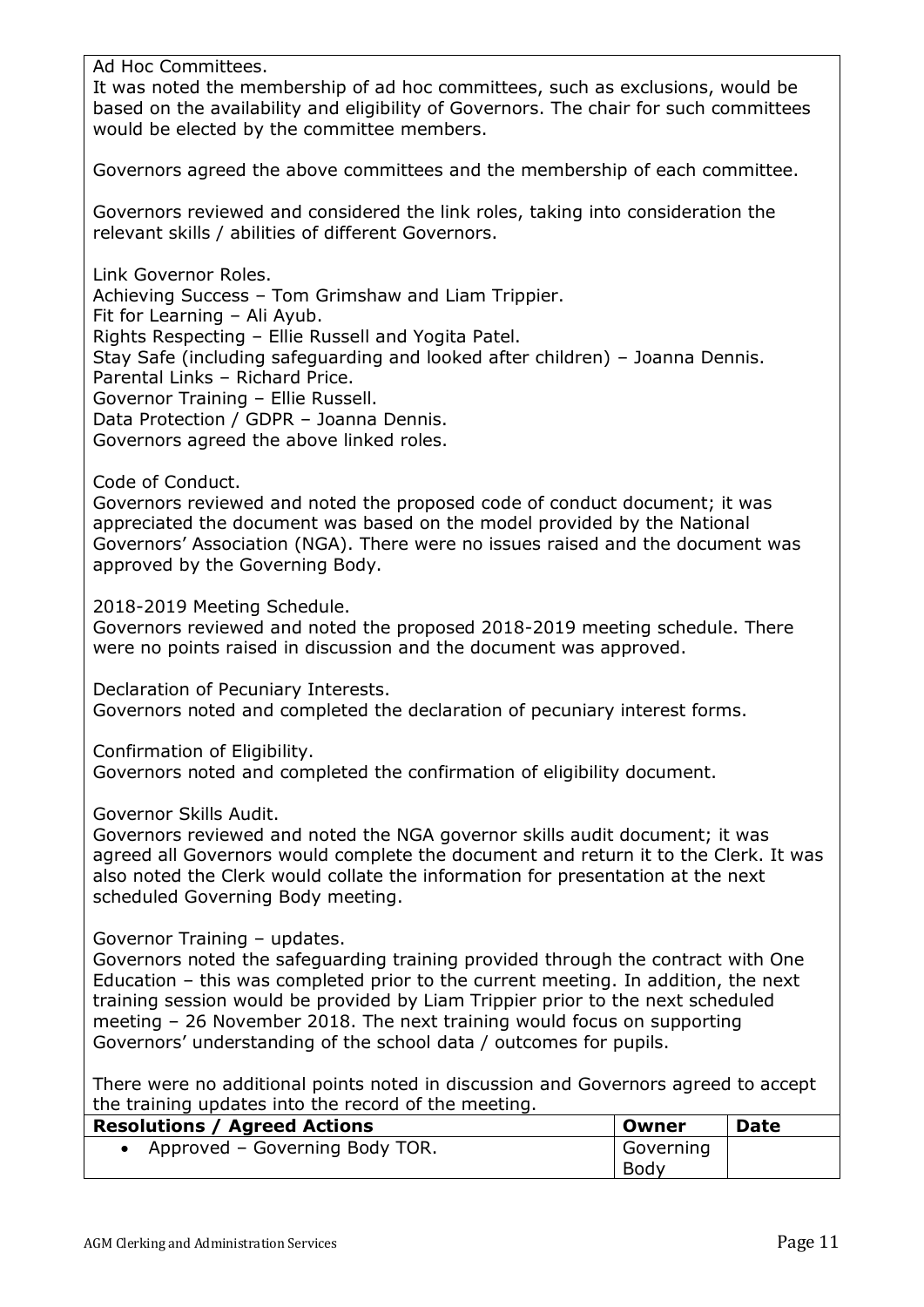Ad Hoc Committees.

It was noted the membership of ad hoc committees, such as exclusions, would be based on the availability and eligibility of Governors. The chair for such committees would be elected by the committee members.

Governors agreed the above committees and the membership of each committee.

Governors reviewed and considered the link roles, taking into consideration the relevant skills / abilities of different Governors.

Link Governor Roles. Achieving Success – Tom Grimshaw and Liam Trippier.

Fit for Learning – Ali Ayub. Rights Respecting – Ellie Russell and Yogita Patel.

Stay Safe (including safeguarding and looked after children) – Joanna Dennis. Parental Links – Richard Price.

Governor Training – Ellie Russell.

Data Protection / GDPR – Joanna Dennis.

Governors agreed the above linked roles.

Code of Conduct.

Governors reviewed and noted the proposed code of conduct document; it was appreciated the document was based on the model provided by the National Governors' Association (NGA). There were no issues raised and the document was approved by the Governing Body.

2018-2019 Meeting Schedule.

Governors reviewed and noted the proposed 2018-2019 meeting schedule. There were no points raised in discussion and the document was approved.

Declaration of Pecuniary Interests. Governors noted and completed the declaration of pecuniary interest forms.

Confirmation of Eligibility.

Governors noted and completed the confirmation of eligibility document.

Governor Skills Audit.

Governors reviewed and noted the NGA governor skills audit document; it was agreed all Governors would complete the document and return it to the Clerk. It was also noted the Clerk would collate the information for presentation at the next scheduled Governing Body meeting.

Governor Training – updates.

Governors noted the safeguarding training provided through the contract with One Education – this was completed prior to the current meeting. In addition, the next training session would be provided by Liam Trippier prior to the next scheduled meeting – 26 November 2018. The next training would focus on supporting Governors' understanding of the school data / outcomes for pupils.

There were no additional points noted in discussion and Governors agreed to accept the training updates into the record of the meeting.

| <b>Resolutions / Agreed Actions</b> | Owner     | <b>Date</b> |
|-------------------------------------|-----------|-------------|
| • Approved – Governing Body TOR.    | Governing |             |
|                                     | Body      |             |